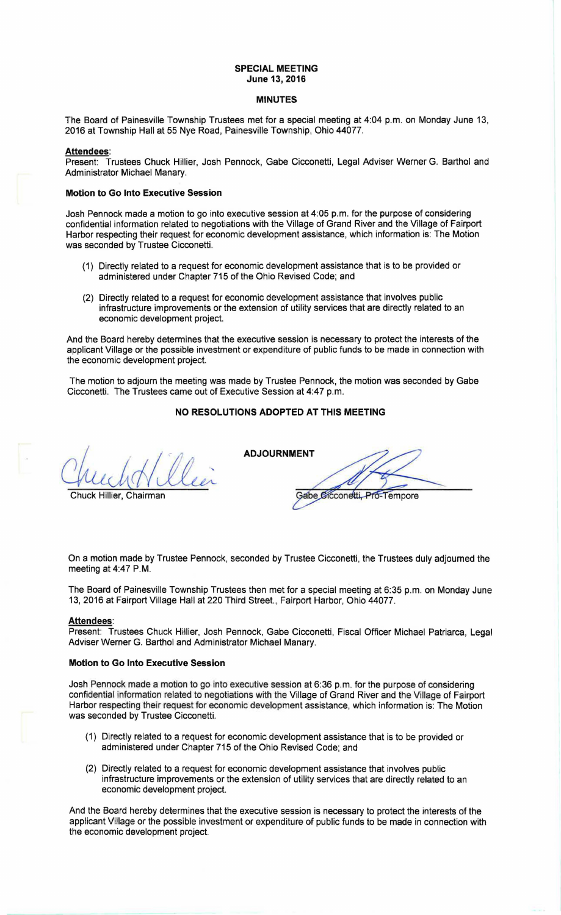## **SPECIAL MEETING June 13, 2016**

#### **MINUTES**

The Board of Painesville Township Trustees met for a special meeting at 4:04 p.m. on Monday June 13, 2016 at Township Hall at 55 Nye Road, Painesville Township, Ohio 44077.

#### **Attendees:**

Present: Trustees Chuck Hillier, Josh Pennock, Gabe Cicconetti, Legal Adviser Werner G. Barthol and Administrator Michael Manary.

## **Motion to Go Into Executive Session**

Josh Pennock made a motion to go into executive session at 4:05 p.m. for the purpose of considering confidential information related to negotiations with the Village of Grand River and the Village of Fairport Harbor respecting their request for economic development assistance, which information is: The Motion was seconded by Trustee Cicconetti.

- (1) Directly related to a request for economic development assistance that is to be provided or administered under Chapter 715 of the Ohio Revised Code; and
- (2) Directly related to a request for economic development assistance that involves public infrastructure improvements or the extension of utility services that are directly related to an economic development project.

And the Board hereby determines that the executive session is necessary to protect the interests of the applicant Village or the possible investment or expenditure of public funds to be made in connection with the economic development project.

The motion to adjourn the meeting was made by Trustee Pennock, the motion was seconded by Gabe Cicconetti. The Trustees came out of Executive Session at 4:47 p.m.

## **NO RESOLUTIONS ADOPTED AT THIS MEETING**

Chuck Hillier, Chairman

**ADJOURNMENT**  Gabe Cicconetti, Pro-Tempore

On a motion made by Trustee Pennock, seconded by Trustee Cicconetti, the Trustees duly adjourned the meeting at 4:47 P.M.

The Board of Painesville Township Trustees then met for a special meeting at 6:35 p.m. on Monday June 13, 2016 at Fairport Village Hall at 220 Third Street., Fairport Harbor, Ohio 44077.

#### **Attendees:**

Present: Trustees Chuck Hillier, Josh Pennock, Gabe Cicconetti, Fiscal Officer Michael Patriarca, Legal Adviser Werner G. Barthol and Administrator Michael Manary.

#### **Motion to Go Into Executive Session**

Josh Pennock made a motion to go into executive session at 6:36 p.m. for the purpose of considering confidential information related to negotiations with the Village of Grand River and the Village of Fairport Harbor respecting their request for economic development assistance, which information is: The Motion was seconded by Trustee Cicconetti.

- (1) Directly related to a request for economic development assistance that is to be provided or administered under Chapter 715 of the Ohio Revised Code; and
- (2) Directly related to a request for economic development assistance that involves public infrastructure improvements or the extension of utility services that are directly related to an economic development project.

And the Board hereby determines that the executive session is necessary to protect the interests of the applicant Village or the possible investment or expenditure of public funds to be made in connection with the economic development project.